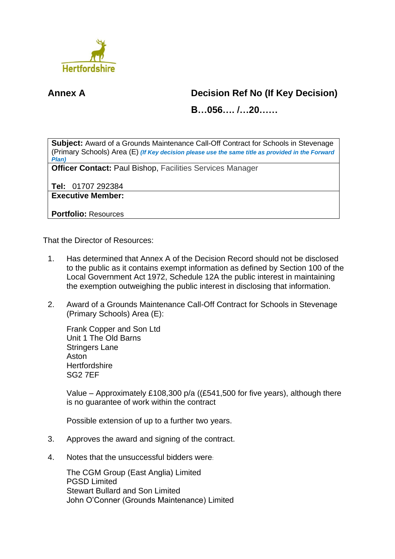

## **Annex A Decision Ref No (If Key Decision)**

**B…056…. /…20……**

**Subject:** Award of a Grounds Maintenance Call-Off Contract for Schools in Stevenage (Primary Schools) Area (E) *(If Key decision please use the same title as provided in the Forward Plan)*

**Officer Contact:** Paul Bishop, Facilities Services Manager

**Tel:** 01707 292384

**Executive Member:**

**Portfolio:** Resources

That the Director of Resources:

- 1. Has determined that Annex A of the Decision Record should not be disclosed to the public as it contains exempt information as defined by Section 100 of the Local Government Act 1972, Schedule 12A the public interest in maintaining the exemption outweighing the public interest in disclosing that information.
- 2. Award of a Grounds Maintenance Call-Off Contract for Schools in Stevenage (Primary Schools) Area (E):

Frank Copper and Son Ltd Unit 1 The Old Barns Stringers Lane Aston **Hertfordshire** SG2 7EF

Value – Approximately £108,300 p/a ((£541,500 for five years), although there is no guarantee of work within the contract

Possible extension of up to a further two years.

- 3. Approves the award and signing of the contract.
- 4. Notes that the unsuccessful bidders were:

The CGM Group (East Anglia) Limited PGSD Limited Stewart Bullard and Son Limited John O'Conner (Grounds Maintenance) Limited